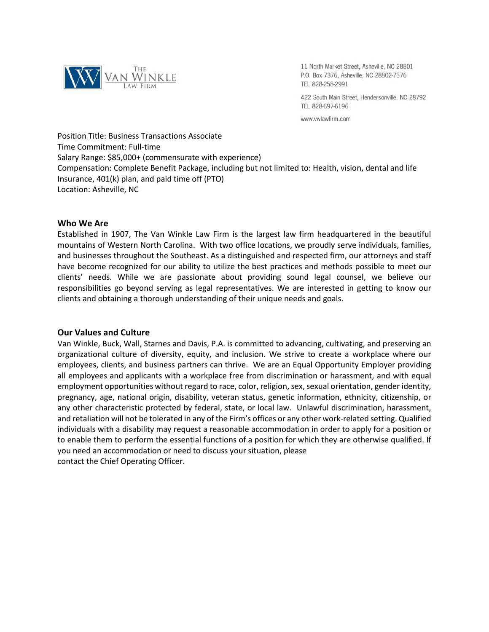

11 North Market Street, Asheville, NC 28801 P.O. Box 7376, Asheville, NC 28802-7376 TEL 828-258-2991

422 South Main Street, Hendersonville, NC 28792 TEL 828-697-6196

www.vwlawfirm.com

Position Title: Business Transactions Associate Time Commitment: Full-time Salary Range: \$85,000+ (commensurate with experience) Compensation: Complete Benefit Package, including but not limited to: Health, vision, dental and life Insurance, 401(k) plan, and paid time off (PTO) Location: Asheville, NC

# **Who We Are**

Established in 1907, The Van Winkle Law Firm is the largest law firm headquartered in the beautiful mountains of Western North Carolina. With two office locations, we proudly serve individuals, families, and businesses throughout the Southeast. As a distinguished and respected firm, our attorneys and staff have become recognized for our ability to utilize the best practices and methods possible to meet our clients' needs. While we are passionate about providing sound legal counsel, we believe our responsibilities go beyond serving as legal representatives. We are interested in getting to know our clients and obtaining a thorough understanding of their unique needs and goals.

### **Our Values and Culture**

Van Winkle, Buck, Wall, Starnes and Davis, P.A. is committed to advancing, cultivating, and preserving an organizational culture of diversity, equity, and inclusion. We strive to create a workplace where our employees, clients, and business partners can thrive. We are an Equal Opportunity Employer providing all employees and applicants with a workplace free from discrimination or harassment, and with equal employment opportunities without regard to race, color, religion, sex, sexual orientation, gender identity, pregnancy, age, national origin, disability, veteran status, genetic information, ethnicity, citizenship, or any other characteristic protected by federal, state, or local law. Unlawful discrimination, harassment, and retaliation will not be tolerated in any of the Firm's offices or any other work-related setting. Qualified individuals with a disability may request a reasonable accommodation in order to apply for a position or to enable them to perform the essential functions of a position for which they are otherwise qualified. If you need an accommodation or need to discuss your situation, please contact the Chief Operating Officer.